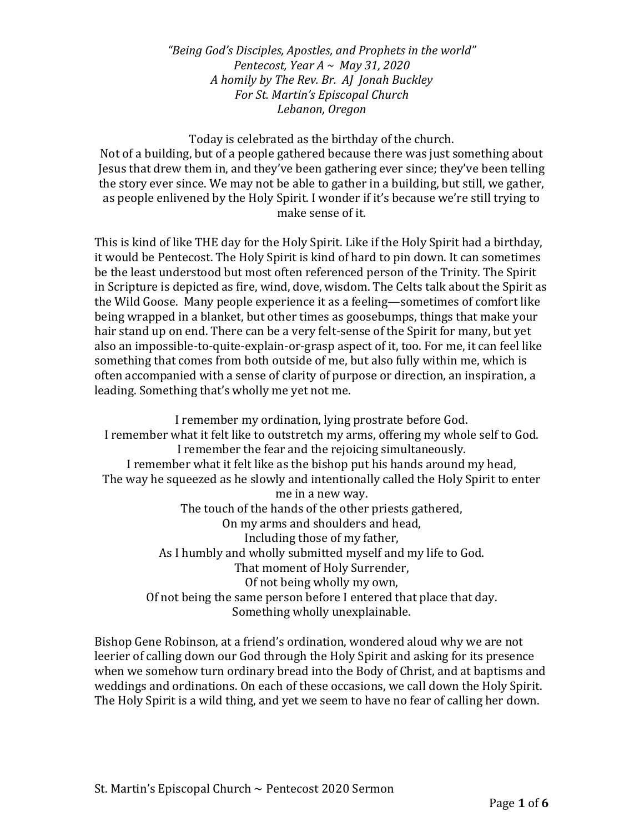*"Being God's Disciples, Apostles, and Prophets in the world" Pentecost, Year A ~ May 31, 2020 A homily by The Rev. Br. AJ Jonah Buckley For St. Martin's Episcopal Church Lebanon, Oregon* 

Today is celebrated as the birthday of the church. Not of a building, but of a people gathered because there was just something about Jesus that drew them in, and they've been gathering ever since; they've been telling the story ever since. We may not be able to gather in a building, but still, we gather, as people enlivened by the Holy Spirit. I wonder if it's because we're still trying to make sense of it.

This is kind of like THE day for the Holy Spirit. Like if the Holy Spirit had a birthday, it would be Pentecost. The Holy Spirit is kind of hard to pin down. It can sometimes be the least understood but most often referenced person of the Trinity. The Spirit in Scripture is depicted as fire, wind, dove, wisdom. The Celts talk about the Spirit as the Wild Goose. Many people experience it as a feeling—sometimes of comfort like being wrapped in a blanket, but other times as goosebumps, things that make your hair stand up on end. There can be a very felt-sense of the Spirit for many, but yet also an impossible-to-quite-explain-or-grasp aspect of it, too. For me, it can feel like something that comes from both outside of me, but also fully within me, which is often accompanied with a sense of clarity of purpose or direction, an inspiration, a leading. Something that's wholly me yet not me.

I remember my ordination, lying prostrate before God. I remember what it felt like to outstretch my arms, offering my whole self to God. I remember the fear and the rejoicing simultaneously. I remember what it felt like as the bishop put his hands around my head, The way he squeezed as he slowly and intentionally called the Holy Spirit to enter me in a new way. The touch of the hands of the other priests gathered, On my arms and shoulders and head, Including those of my father, As I humbly and wholly submitted myself and my life to God. That moment of Holy Surrender, Of not being wholly my own, Of not being the same person before I entered that place that day. Something wholly unexplainable.

Bishop Gene Robinson, at a friend's ordination, wondered aloud why we are not leerier of calling down our God through the Holy Spirit and asking for its presence when we somehow turn ordinary bread into the Body of Christ, and at baptisms and weddings and ordinations. On each of these occasions, we call down the Holy Spirit. The Holy Spirit is a wild thing, and yet we seem to have no fear of calling her down.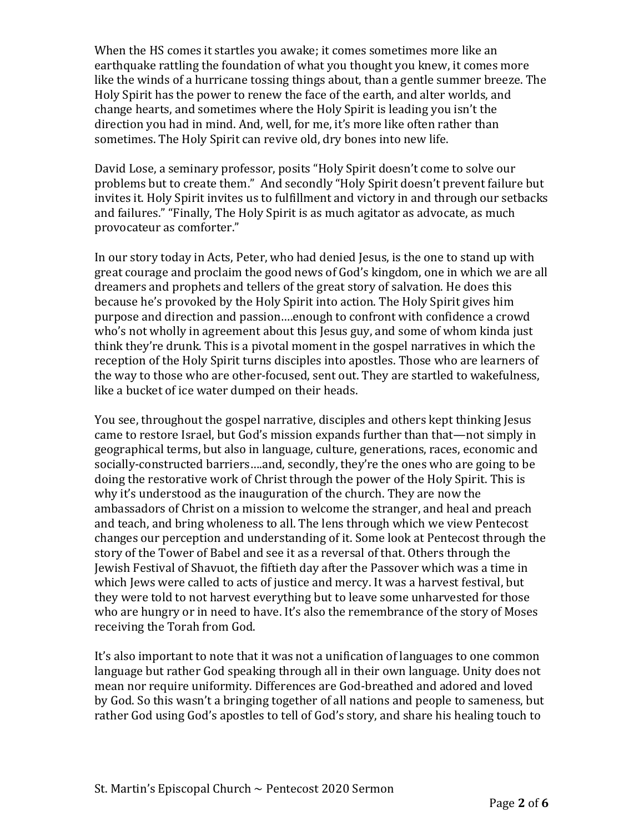When the HS comes it startles you awake; it comes sometimes more like an earthquake rattling the foundation of what you thought you knew, it comes more like the winds of a hurricane tossing things about, than a gentle summer breeze. The Holy Spirit has the power to renew the face of the earth, and alter worlds, and change hearts, and sometimes where the Holy Spirit is leading you isn't the direction you had in mind. And, well, for me, it's more like often rather than sometimes. The Holy Spirit can revive old, dry bones into new life.

David Lose, a seminary professor, posits "Holy Spirit doesn't come to solve our problems but to create them." And secondly "Holy Spirit doesn't prevent failure but invites it. Holy Spirit invites us to fulfillment and victory in and through our setbacks and failures." "Finally, The Holy Spirit is as much agitator as advocate, as much provocateur as comforter."

In our story today in Acts, Peter, who had denied Jesus, is the one to stand up with great courage and proclaim the good news of God's kingdom, one in which we are all dreamers and prophets and tellers of the great story of salvation. He does this because he's provoked by the Holy Spirit into action. The Holy Spirit gives him purpose and direction and passion….enough to confront with confidence a crowd who's not wholly in agreement about this Jesus guy, and some of whom kinda just think they're drunk. This is a pivotal moment in the gospel narratives in which the reception of the Holy Spirit turns disciples into apostles. Those who are learners of the way to those who are other-focused, sent out. They are startled to wakefulness, like a bucket of ice water dumped on their heads.

You see, throughout the gospel narrative, disciples and others kept thinking Jesus came to restore Israel, but God's mission expands further than that—not simply in geographical terms, but also in language, culture, generations, races, economic and socially-constructed barriers….and, secondly, they're the ones who are going to be doing the restorative work of Christ through the power of the Holy Spirit. This is why it's understood as the inauguration of the church. They are now the ambassadors of Christ on a mission to welcome the stranger, and heal and preach and teach, and bring wholeness to all. The lens through which we view Pentecost changes our perception and understanding of it. Some look at Pentecost through the story of the Tower of Babel and see it as a reversal of that. Others through the Jewish Festival of Shavuot, the fiftieth day after the Passover which was a time in which Jews were called to acts of justice and mercy. It was a harvest festival, but they were told to not harvest everything but to leave some unharvested for those who are hungry or in need to have. It's also the remembrance of the story of Moses receiving the Torah from God.

It's also important to note that it was not a unification of languages to one common language but rather God speaking through all in their own language. Unity does not mean nor require uniformity. Differences are God-breathed and adored and loved by God. So this wasn't a bringing together of all nations and people to sameness, but rather God using God's apostles to tell of God's story, and share his healing touch to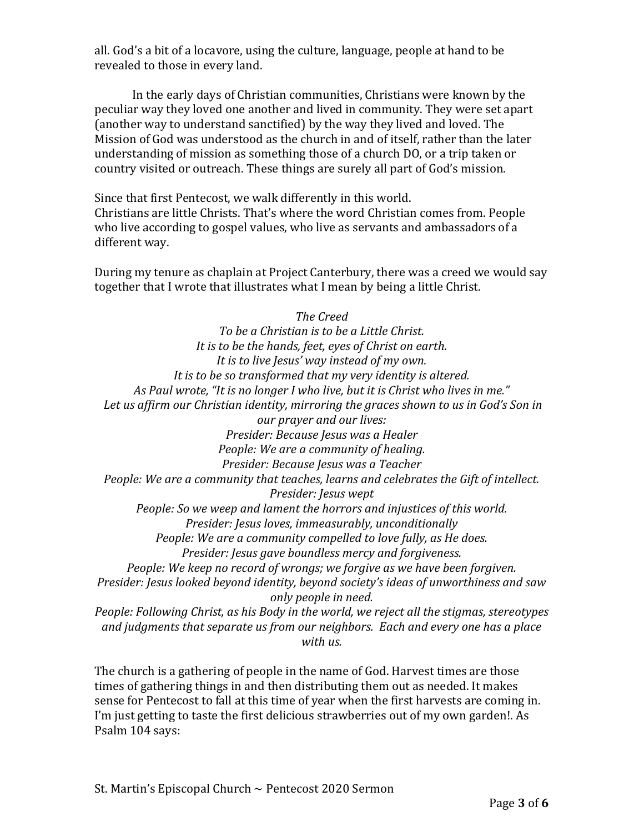all. God's a bit of a locavore, using the culture, language, people at hand to be revealed to those in every land.

In the early days of Christian communities, Christians were known by the peculiar way they loved one another and lived in community. They were set apart (another way to understand sanctified) by the way they lived and loved. The Mission of God was understood as the church in and of itself, rather than the later understanding of mission as something those of a church DO, or a trip taken or country visited or outreach. These things are surely all part of God's mission.

Since that first Pentecost, we walk differently in this world. Christians are little Christs. That's where the word Christian comes from. People who live according to gospel values, who live as servants and ambassadors of a different way.

During my tenure as chaplain at Project Canterbury, there was a creed we would say together that I wrote that illustrates what I mean by being a little Christ.

*The Creed To be a Christian is to be a Little Christ. It is to be the hands, feet, eyes of Christ on earth. It is to live Jesus' way instead of my own. It is to be so transformed that my very identity is altered. As Paul wrote, "It is no longer I who live, but it is Christ who lives in me." Let us affirm our Christian identity, mirroring the graces shown to us in God's Son in our prayer and our lives: Presider: Because Jesus was a Healer People: We are a community of healing. Presider: Because Jesus was a Teacher People: We are a community that teaches, learns and celebrates the Gift of intellect. Presider: Jesus wept People: So we weep and lament the horrors and injustices of this world. Presider: Jesus loves, immeasurably, unconditionally People: We are a community compelled to love fully, as He does. Presider: Jesus gave boundless mercy and forgiveness. People: We keep no record of wrongs; we forgive as we have been forgiven. Presider: Jesus looked beyond identity, beyond society's ideas of unworthiness and saw only people in need. People: Following Christ, as his Body in the world, we reject all the stigmas, stereotypes and judgments that separate us from our neighbors. Each and every one has a place* 

*with us.*

The church is a gathering of people in the name of God. Harvest times are those times of gathering things in and then distributing them out as needed. It makes sense for Pentecost to fall at this time of year when the first harvests are coming in. I'm just getting to taste the first delicious strawberries out of my own garden!. As Psalm 104 says: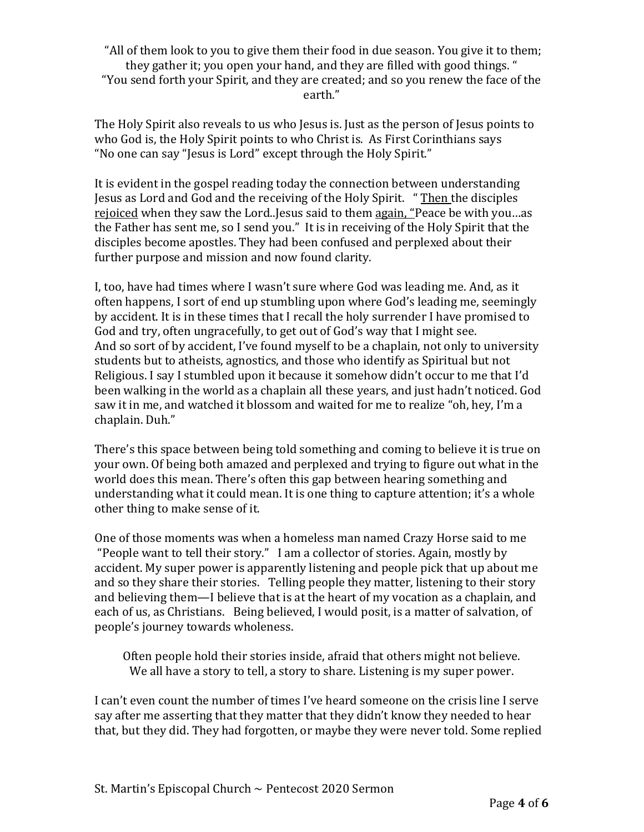"All of them look to you to give them their food in due season. You give it to them; they gather it; you open your hand, and they are filled with good things. " "You send forth your Spirit, and they are created; and so you renew the face of the earth."

The Holy Spirit also reveals to us who Jesus is. Just as the person of Jesus points to who God is, the Holy Spirit points to who Christ is. As First Corinthians says "No one can say "Jesus is Lord" except through the Holy Spirit."

It is evident in the gospel reading today the connection between understanding Jesus as Lord and God and the receiving of the Holy Spirit. " Then the disciples rejoiced when they saw the Lord..Jesus said to them again, "Peace be with you…as the Father has sent me, so I send you." It is in receiving of the Holy Spirit that the disciples become apostles. They had been confused and perplexed about their further purpose and mission and now found clarity.

I, too, have had times where I wasn't sure where God was leading me. And, as it often happens, I sort of end up stumbling upon where God's leading me, seemingly by accident. It is in these times that I recall the holy surrender I have promised to God and try, often ungracefully, to get out of God's way that I might see. And so sort of by accident, I've found myself to be a chaplain, not only to university students but to atheists, agnostics, and those who identify as Spiritual but not Religious. I say I stumbled upon it because it somehow didn't occur to me that I'd been walking in the world as a chaplain all these years, and just hadn't noticed. God saw it in me, and watched it blossom and waited for me to realize "oh, hey, I'm a chaplain. Duh."

There's this space between being told something and coming to believe it is true on your own. Of being both amazed and perplexed and trying to figure out what in the world does this mean. There's often this gap between hearing something and understanding what it could mean. It is one thing to capture attention; it's a whole other thing to make sense of it.

One of those moments was when a homeless man named Crazy Horse said to me "People want to tell their story." I am a collector of stories. Again, mostly by accident. My super power is apparently listening and people pick that up about me and so they share their stories. Telling people they matter, listening to their story and believing them—I believe that is at the heart of my vocation as a chaplain, and each of us, as Christians. Being believed, I would posit, is a matter of salvation, of people's journey towards wholeness.

Often people hold their stories inside, afraid that others might not believe. We all have a story to tell, a story to share. Listening is my super power.

I can't even count the number of times I've heard someone on the crisis line I serve say after me asserting that they matter that they didn't know they needed to hear that, but they did. They had forgotten, or maybe they were never told. Some replied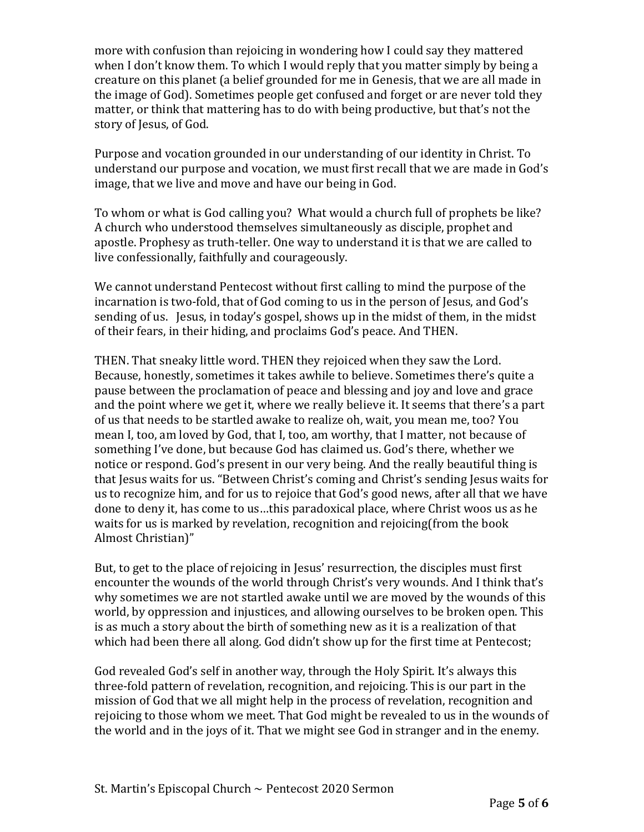more with confusion than rejoicing in wondering how I could say they mattered when I don't know them. To which I would reply that you matter simply by being a creature on this planet (a belief grounded for me in Genesis, that we are all made in the image of God). Sometimes people get confused and forget or are never told they matter, or think that mattering has to do with being productive, but that's not the story of Jesus, of God.

Purpose and vocation grounded in our understanding of our identity in Christ. To understand our purpose and vocation, we must first recall that we are made in God's image, that we live and move and have our being in God.

To whom or what is God calling you? What would a church full of prophets be like? A church who understood themselves simultaneously as disciple, prophet and apostle. Prophesy as truth-teller. One way to understand it is that we are called to live confessionally, faithfully and courageously.

We cannot understand Pentecost without first calling to mind the purpose of the incarnation is two-fold, that of God coming to us in the person of Jesus, and God's sending of us. Jesus, in today's gospel, shows up in the midst of them, in the midst of their fears, in their hiding, and proclaims God's peace. And THEN.

THEN. That sneaky little word. THEN they rejoiced when they saw the Lord. Because, honestly, sometimes it takes awhile to believe. Sometimes there's quite a pause between the proclamation of peace and blessing and joy and love and grace and the point where we get it, where we really believe it. It seems that there's a part of us that needs to be startled awake to realize oh, wait, you mean me, too? You mean I, too, am loved by God, that I, too, am worthy, that I matter, not because of something I've done, but because God has claimed us. God's there, whether we notice or respond. God's present in our very being. And the really beautiful thing is that Jesus waits for us. "Between Christ's coming and Christ's sending Jesus waits for us to recognize him, and for us to rejoice that God's good news, after all that we have done to deny it, has come to us…this paradoxical place, where Christ woos us as he waits for us is marked by revelation, recognition and rejoicing(from the book Almost Christian)"

But, to get to the place of rejoicing in Jesus' resurrection, the disciples must first encounter the wounds of the world through Christ's very wounds. And I think that's why sometimes we are not startled awake until we are moved by the wounds of this world, by oppression and injustices, and allowing ourselves to be broken open. This is as much a story about the birth of something new as it is a realization of that which had been there all along. God didn't show up for the first time at Pentecost;

God revealed God's self in another way, through the Holy Spirit. It's always this three-fold pattern of revelation, recognition, and rejoicing. This is our part in the mission of God that we all might help in the process of revelation, recognition and rejoicing to those whom we meet. That God might be revealed to us in the wounds of the world and in the joys of it. That we might see God in stranger and in the enemy.